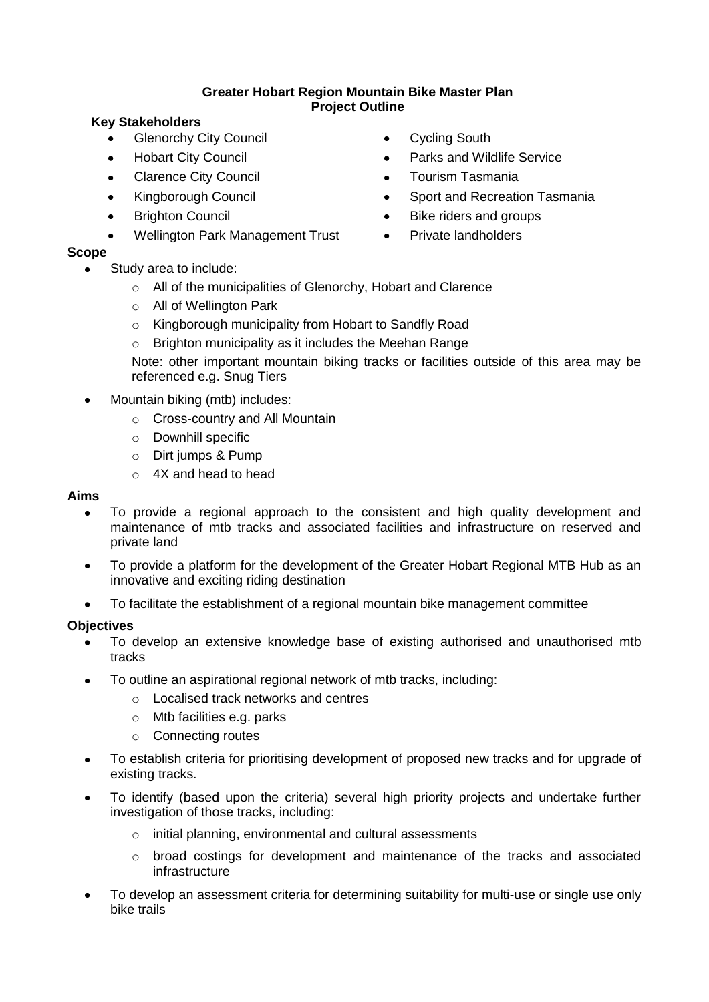### **Greater Hobart Region Mountain Bike Master Plan Project Outline**

#### **Key Stakeholders**

- Glenorchy City Council
- Hobart City Council  $\bullet$
- Clarence City Council
- Kingborough Council  $\bullet$
- Brighton Council  $\bullet$
- Wellington Park Management Trust

### **Scope**

- Study area to include:
	- o All of the municipalities of Glenorchy, Hobart and Clarence
	- o All of Wellington Park
	- o Kingborough municipality from Hobart to Sandfly Road
	- o Brighton municipality as it includes the Meehan Range

Note: other important mountain biking tracks or facilities outside of this area may be referenced e.g. Snug Tiers

- Mountain biking (mtb) includes:
	- o Cross-country and All Mountain
	- o Downhill specific
	- o Dirt jumps & Pump
	- o 4X and head to head

### **Aims**

- To provide a regional approach to the consistent and high quality development and maintenance of mtb tracks and associated facilities and infrastructure on reserved and private land
- To provide a platform for the development of the Greater Hobart Regional MTB Hub as an  $\bullet$ innovative and exciting riding destination
- To facilitate the establishment of a regional mountain bike management committee

### **Objectives**

- $\bullet$ To develop an extensive knowledge base of existing authorised and unauthorised mtb tracks
- To outline an aspirational regional network of mtb tracks, including:
	- o Localised track networks and centres
	- o Mtb facilities e.g. parks
	- o Connecting routes
- To establish criteria for prioritising development of proposed new tracks and for upgrade of existing tracks.
- To identify (based upon the criteria) several high priority projects and undertake further investigation of those tracks, including:
	- o initial planning, environmental and cultural assessments
	- o broad costings for development and maintenance of the tracks and associated infrastructure
- To develop an assessment criteria for determining suitability for multi-use or single use only bike trails
- Cycling South
- Parks and Wildlife Service
- Tourism Tasmania
- Sport and Recreation Tasmania
- Bike riders and groups
- Private landholders  $\bullet$